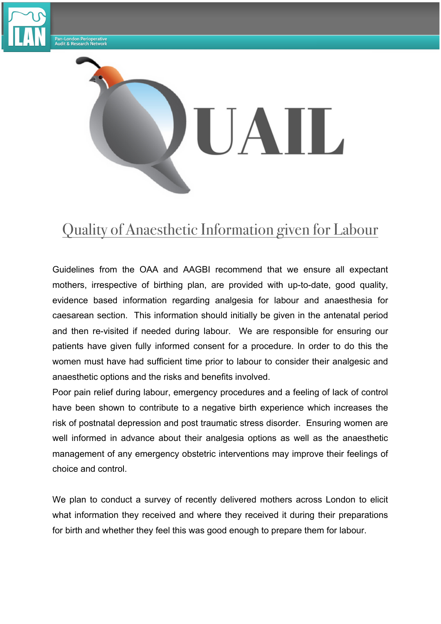

-<br>Pan-London Perioperative<br>Audit & Research Network



## Quality of Anaesthetic Information given for Labour

Guidelines from the OAA and AAGBI recommend that we ensure all expectant mothers, irrespective of birthing plan, are provided with up-to-date, good quality, evidence based information regarding analgesia for labour and anaesthesia for caesarean section. This information should initially be given in the antenatal period and then re-visited if needed during labour. We are responsible for ensuring our patients have given fully informed consent for a procedure. In order to do this the women must have had sufficient time prior to labour to consider their analgesic and anaesthetic options and the risks and benefits involved.

Poor pain relief during labour, emergency procedures and a feeling of lack of control have been shown to contribute to a negative birth experience which increases the risk of postnatal depression and post traumatic stress disorder. Ensuring women are well informed in advance about their analgesia options as well as the anaesthetic management of any emergency obstetric interventions may improve their feelings of choice and control.

We plan to conduct a survey of recently delivered mothers across London to elicit what information they received and where they received it during their preparations for birth and whether they feel this was good enough to prepare them for labour.